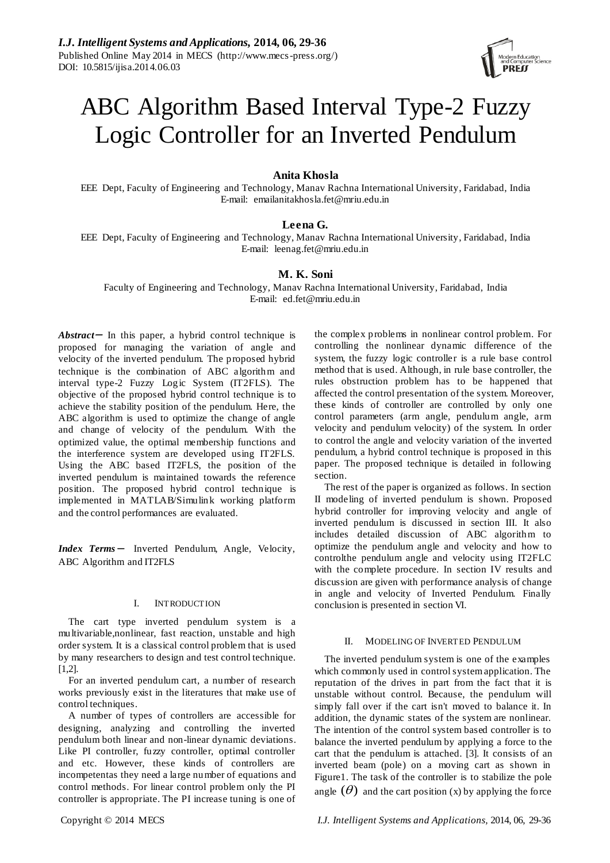

# ABC Algorithm Based Interval Type-2 Fuzzy Logic Controller for an Inverted Pendulum

# **Anita Khosla**

EEE Dept, Faculty of Engineering and Technology, Manav Rachna International University, Faridabad, India E-mail: emailanitakhosla.fet@mriu.edu.in

# **Leena G.**

EEE Dept, Faculty of Engineering and Technology, Manav Rachna International University, Faridabad, India E-mail: leenag.fet@mriu.edu.in

# **M. K. Soni**

Faculty of Engineering and Technology, Manav Rachna International University, Faridabad, India E-mail: ed.fet@mriu.edu.in

*Abstract*<sup>−</sup> In this paper, a hybrid control technique is proposed for managing the variation of angle and velocity of the inverted pendulum. The proposed hybrid technique is the combination of ABC algorithm and interval type-2 Fuzzy Logic System (IT2FLS). The objective of the proposed hybrid control technique is to achieve the stability position of the pendulum. Here, the ABC algorithm is used to optimize the change of angle and change of velocity of the pendulum. With the optimized value, the optimal membership functions and the interference system are developed using IT2FLS. Using the ABC based IT2FLS, the position of the inverted pendulum is maintained towards the reference position. The proposed hybrid control technique is implemented in MATLAB/Simulink working platform and the control performances are evaluated.

*Index Terms* − Inverted Pendulum, Angle, Velocity, ABC Algorithm and IT2FLS

## I. INTRODUCTION

The cart type inverted pendulum system is a multivariable,nonlinear, fast reaction, unstable and high order system. It is a classical control problem that is used by many researchers to design and test control technique. [1,2].

For an inverted pendulum cart, a number of research works previously exist in the literatures that make use of control techniques.

A number of types of controllers are accessible for designing, analyzing and controlling the inverted pendulum both linear and non-linear dynamic deviations. Like PI controller, fuzzy controller, optimal controller and etc. However, these kinds of controllers are incompetentas they need a large number of equations and control methods. For linear control problem only the PI controller is appropriate. The PI increase tuning is one of

the complex problems in nonlinear control problem. For controlling the nonlinear dynamic difference of the system, the fuzzy logic controller is a rule base control method that is used. Although, in rule base controller, the rules obstruction problem has to be happened that affected the control presentation of the system. Moreover, these kinds of controller are controlled by only one control parameters (arm angle, pendulum angle, arm velocity and pendulum velocity) of the system. In order to control the angle and velocity variation of the inverted pendulum, a hybrid control technique is proposed in this paper. The proposed technique is detailed in following section.

The rest of the paper is organized as follows. In section II modeling of inverted pendulum is shown. Proposed hybrid controller for improving velocity and angle of inverted pendulum is discussed in section III. It also includes detailed discussion of ABC algorithm to optimize the pendulum angle and velocity and how to controlthe pendulum angle and velocity using IT2FLC with the complete procedure. In section IV results and discussion are given with performance analysis of change in angle and velocity of Inverted Pendulum. Finally conclusion is presented in section VI.

## MODELING OF INVERTED PENDULUM

The inverted pendulum system is one of the examples which commonly used in control system application. The reputation of the drives in part from the fact that it is unstable without control. Because, the pendulum will simply fall over if the cart isn't moved to balance it. In addition, the dynamic states of the system are nonlinear. The intention of the control system based controller is to balance the inverted pendulum by applying a force to the cart that the pendulum is attached. [3]. It consists of an inverted beam (pole) on a moving cart as shown in Figure1. The task of the controller is to stabilize the pole angle  $(\theta)$  and the cart position (x) by applying the force

Copyright © 2014 MECS *I.J. Intelligent Systems and Applications,* 2014, 06, 29-36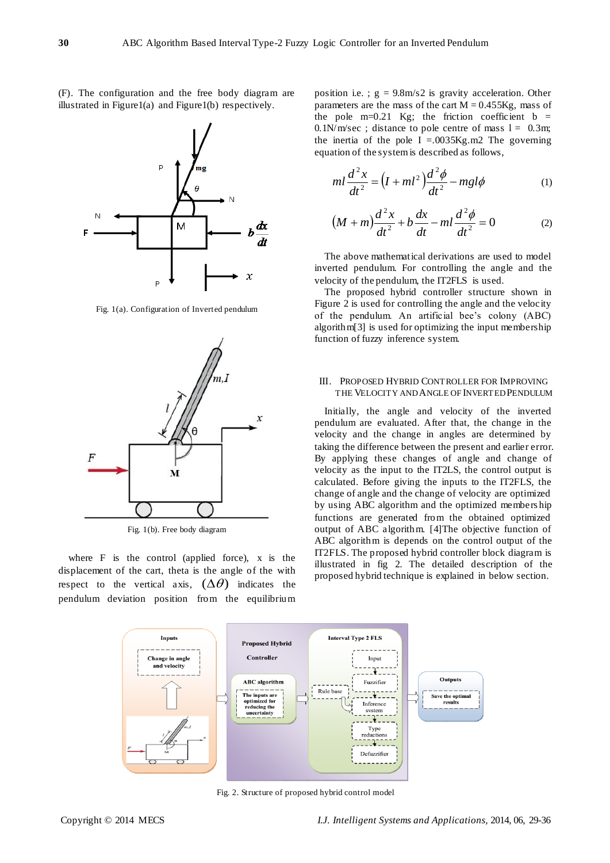(F). The configuration and the free body diagram are illustrated in Figure1(a) and Figure1(b) respectively.

Á

đχ

 $\chi$ 

 $\mathbf{x}$ 

Fig. 1(a). Configuration of Inverted pendulum

Þ

M



pendulum deviation position from the equilibrium

Fig. 1(b). Free body diagram

M

position i.e. ;  $g = 9.8$ m/s2 is gravity acceleration. Other parameters are the mass of the cart  $M = 0.455Kg$ , mass of the pole  $m=0.21$  Kg; the friction coefficient  $b =$  $0.1$ N/m/sec ; distance to pole centre of mass  $l = 0.3$ m; the inertia of the pole  $I = .0035$ Kg.m2 The governing equation of the system is described as follows,

$$
ml\frac{d^2x}{dt^2} = \left(I + ml^2\right)\frac{d^2\phi}{dt^2} - mgl\phi\tag{1}
$$

$$
(M+m)\frac{d^2x}{dt^2} + b\frac{dx}{dt} - ml\frac{d^2\phi}{dt^2} = 0
$$
 (2)

The above mathematical derivations are used to model inverted pendulum. For controlling the angle and the velocity of the pendulum, the IT2FLS is used.

The proposed hybrid controller structure shown in Figure 2 is used for controlling the angle and the velocity of the pendulum. An artificial bee's colony (ABC) algorithm[3] is used for optimizing the input membership function of fuzzy inference system.

## III. PROPOSED HYBRID CONTROLLER FOR IMPROVING THE VELOCITY AND ANGLE OF INVERTED PENDULUM

Initially, the angle and velocity of the inverted pendulum are evaluated. After that, the change in the velocity and the change in angles are determined by taking the difference between the present and earlier error. By applying these changes of angle and change of velocity as the input to the IT2LS, the control output is calculated. Before giving the inputs to the IT2FLS, the change of angle and the change of velocity are optimized by using ABC algorithm and the optimized members hip functions are generated from the obtained optimized output of ABC algorithm. [4]The objective function of ABC algorithm is depends on the control output of the IT2FLS. The proposed hybrid controller block diagram is illustrated in fig 2. The detailed description of the proposed hybrid technique is explained in below section.



Fig. 2. Structure of proposed hybrid control model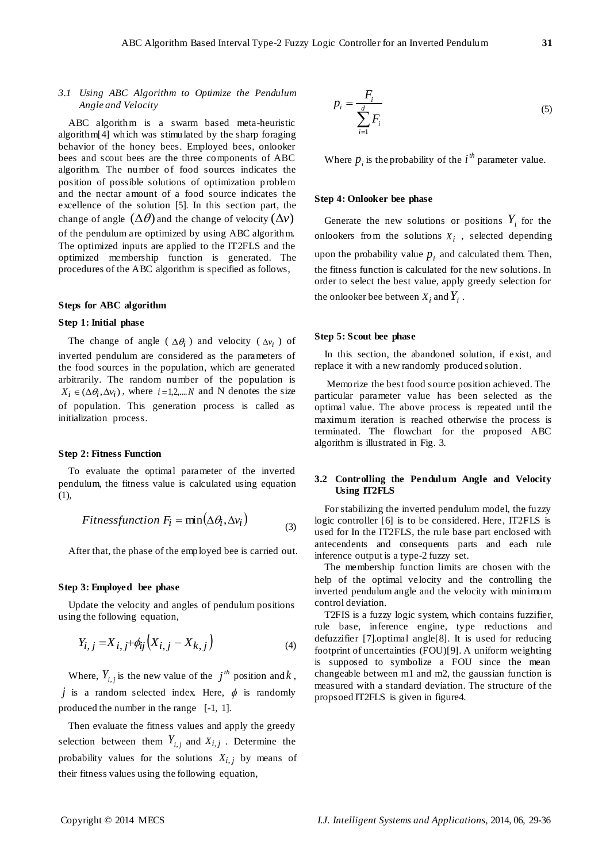# *3.1 Using ABC Algorithm to Optimize the Pendulum Angle and Velocity*

ABC algorithm is a swarm based meta-heuristic algorithm[4] which was stimulated by the sharp foraging behavior of the honey bees. Employed bees, onlooker bees and scout bees are the three components of ABC algorithm. The number of food sources indicates the position of possible solutions of optimization problem and the nectar amount of a food source indicates the excellence of the solution [5]. In this section part, the change of angle  $(\Delta \theta)$  and the change of velocity  $(\Delta \nu)$ of the pendulum are optimized by using ABC algorithm. The optimized inputs are applied to the IT2FLS and the optimized membership function is generated. The procedures of the ABC algorithm is specified as follows,

## **Steps for ABC algorithm**

# **Step 1: Initial phase**

The change of angle ( $\Delta \theta_i$ ) and velocity ( $\Delta v_i$ ) of inverted pendulum are considered as the parameters of the food sources in the population, which are generated arbitrarily. The random number of the population is  $X_i \in (\Delta \theta_i, \Delta v_i)$ , where  $i = 1, 2, \dots N$  and N denotes the size of population. This generation process is called as initialization process.

## **Step 2: Fitness Function**

To evaluate the optimal parameter of the inverted pendulum, the fitness value is calculated using equation (1),

*Fitnessfunction* 
$$
F_i = \min(\Delta \theta_i, \Delta v_i)
$$
 (3)

After that, the phase of the employed bee is carried out.

## **Step 3: Employed bee phase**

Update the velocity and angles of pendulum positions using the following equation,

$$
Y_{i,j} = X_{i,j} + \phi_{ij} (X_{i,j} - X_{k,j})
$$
\n(4)

Where,  $Y_{i,j}$  is the new value of the  $j^{th}$  position and  $k$ , *j* is a random selected index. Here,  $\phi$  is randomly produced the number in the range [-1, 1].

Then evaluate the fitness values and apply the greedy selection between them  $Y_{i,j}$  and  $X_{i,j}$ . Determine the probability values for the solutions  $X_{i,j}$  by means of their fitness values using the following equation,

$$
p_i = \frac{F_i}{\sum_{i=1}^d F_i} \tag{5}
$$

Where  $p_i$  is the probability of the  $i^{th}$  parameter value.

## **Step 4: Onlooker bee phase**

Generate the new solutions or positions  $Y_i$  for the onlookers from the solutions  $X_i$ , selected depending upon the probability value  $p_i$  and calculated them. Then, the fitness function is calculated for the new solutions. In order to select the best value, apply greedy selection for the onlooker bee between  $X_i$  and  $Y_i$ .

#### **Step 5: Scout bee phase**

In this section, the abandoned solution, if exist, and replace it with a new randomly produced solution.

Memorize the best food source position achieved. The particular parameter value has been selected as the optimal value. The above process is repeated until the maximum iteration is reached otherwise the process is terminated. The flowchart for the proposed ABC algorithm is illustrated in Fig. 3.

## **3.2 Controlling the Pendulum Angle and Velocity Using IT2FLS**

For stabilizing the inverted pendulum model, the fuzzy logic controller [6] is to be considered. Here, IT2FLS is used for In the IT2FLS, the rule base part enclosed with antecendents and consequents parts and each rule inference output is a type-2 fuzzy set.

The membership function limits are chosen with the help of the optimal velocity and the controlling the inverted pendulum angle and the velocity with minimum control deviation.

T2FIS is a fuzzy logic system, which contains fuzzifier, rule base, inference engine, type reductions and defuzzifier [7].optimal angle[8]. It is used for reducing footprint of uncertainties (FOU)[9]. A uniform weighting is supposed to symbolize a FOU since the mean changeable between m1 and m2, the gaussian function is measured with a standard deviation. The structure of the propsoed IT2FLS is given in figure4.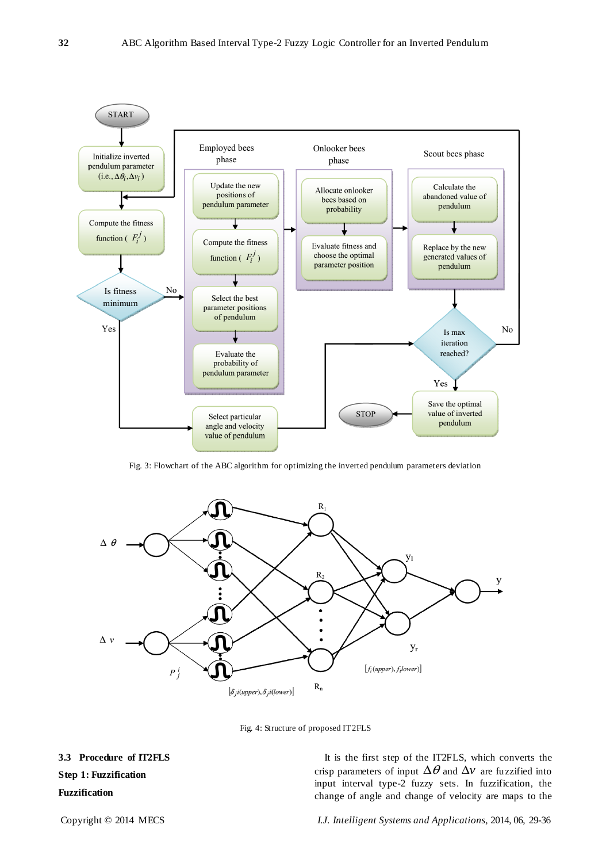

Fig. 3: Flowchart of the ABC algorithm for optimizing the inverted pendulum parameters deviation



Fig. 4: Structure of proposed IT2FLS

**3.3 Procedure of IT2FLS Step 1: Fuzzification Fuzzification**

It is the first step of the IT2FLS, which converts the crisp parameters of input  $\Delta\theta$  and  $\Delta v$  are fuzzified into input interval type-2 fuzzy sets. In fuzzification, the change of angle and change of velocity are maps to the

Copyright © 2014 MECS *I.J. Intelligent Systems and Applications,* 2014, 06, 29-36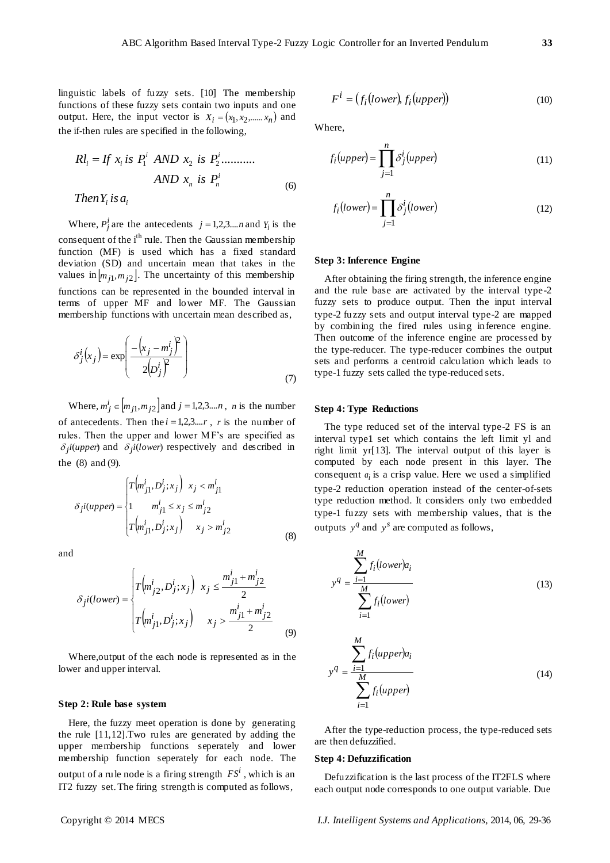linguistic labels of fuzzy sets. [10] The membership functions of these fuzzy sets contain two inputs and one output. Here, the input vector is  $X_i = (x_1, x_2, \dots, x_n)$  and the if-then rules are specified in the following,

$$
RI_i = If x_i is P_1^i AND x_2 is P_2^i...........
$$
  
AND x<sub>n</sub> is P<sub>n</sub><sup>i</sup>  
Then Y<sub>i</sub> is a<sub>i</sub> (6)

Where,  $P_j^i$  are the antecedents  $j = 1, 2, 3,...n$  and  $Y_i$  is the consequent of the  $i<sup>th</sup>$  rule. Then the Gaussian membership function (MF) is used which has a fixed standard deviation (SD) and uncertain mean that takes in the values in  $[m_{j1}, m_{j2}]$ . The uncertainty of this membership functions can be represented in the bounded interval in terms of upper MF and lower MF. The Gaussian membership functions with uncertain mean described as,

$$
\delta_j^i(x_j) = \exp\left(\frac{-\left(x_j - m_j^i\right)^2}{2\left(p_j^i\right)^2}\right) \tag{7}
$$

Where,  $m_j^i \in [m_{j1}, m_{j2}]$  and  $j = 1, 2, 3...$ *n*, *n* is the number of antecedents. Then the  $i = 1,2,3,...r$ , *r* is the number of rules. Then the upper and lower MF's are specified as  $\delta_j$ *i*(*upper*) and  $\delta_j$ *i*(*lower*) respectively and described in the (8) and (9).

$$
\delta_j i(upper) = \begin{cases} T(m^i_{j1}, D^i_j; x_j) & x_j < m^i_{j1} \\ 1 & m^i_{j1} \le x_j \le m^i_{j2} \\ T(m^i_{j1}, D^i_j; x_j) & x_j > m^i_{j2} \end{cases}
$$
(8)

and

$$
\delta_{jl}(lower) = \begin{cases} T(m_{j2}^{i}, D_{j}^{i}; x_{j}) & x_{j} \leq \frac{m_{j1}^{i} + m_{j2}^{i}}{2} \\ T(m_{j1}^{i}, D_{j}^{i}; x_{j}) & x_{j} > \frac{m_{j1}^{i} + m_{j2}^{i}}{2} \end{cases}
$$
(9)

Where,output of the each node is represented as in the lower and upper interval.

## **Step 2: Rule base system**

Here, the fuzzy meet operation is done by generating the rule [11,12].Two rules are generated by adding the upper membership functions seperately and lower membership function seperately for each node. The output of a rule node is a firing strength  $FS^i$ , which is an IT2 fuzzy set. The firing strength is computed as follows,

$$
F^i = (f_i (lower), f_i (upper))
$$
 (10)

Where,

$$
f_i(upper) = \prod_{j=1}^{n} \delta_j^i(upper)
$$
\n(11)

$$
f_i\big(lower\big) = \prod_{j=1}^n \delta_j^i\big(lower\big) \tag{12}
$$

#### **Step 3: Inference Engine**

After obtaining the firing strength, the inference engine and the rule base are activated by the interval type-2 fuzzy sets to produce output. Then the input interval type-2 fuzzy sets and output interval type-2 are mapped by combining the fired rules using inference engine. Then outcome of the inference engine are processed by the type-reducer. The type-reducer combines the output sets and performs a centroid calculation which leads to type-1 fuzzy sets called the type-reduced sets.

# **Step 4: Type Reductions**

The type reduced set of the interval type-2 FS is an interval type1 set which contains the left limit yl and right limit yr[13]. The interval output of this layer is computed by each node present in this layer. The consequent  $a_i$  is a crisp value. Here we used a simplified type-2 reduction operation instead of the center-of-sets type reduction method. It considers only two embedded type-1 fuzzy sets with membership values, that is the outputs  $y^q$  and  $y^s$  are computed as follows,

$$
y^{q} = \frac{\sum_{i=1}^{M} f_i (lower) a_i}{\sum_{i=1}^{M} f_i (lower)}
$$
(13)

$$
y^{q} = \frac{\sum_{i=1}^{M} f_{i}(upper)a_{i}}{\sum_{i=1}^{M} f_{i}(upper)}
$$
(14)

After the type-reduction process, the type-reduced sets are then defuzzified.

## **Step 4: Defuzzification**

Defuzzification is the last process of the IT2FLS where each output node corresponds to one output variable. Due

Copyright © 2014 MECS *I.J. Intelligent Systems and Applications,* 2014, 06, 29-36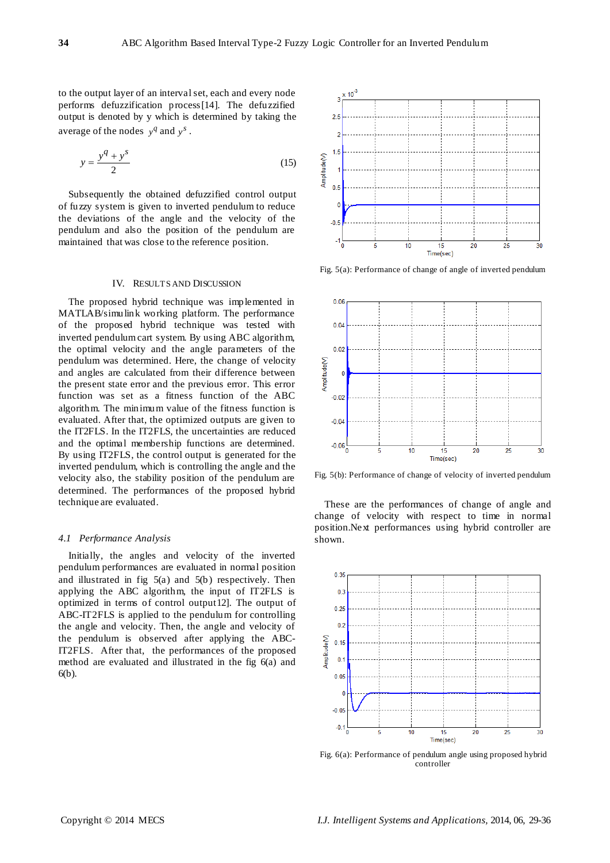to the output layer of an interval set, each and every node performs defuzzification process[14]. The defuzzified output is denoted by y which is determined by taking the average of the nodes  $y^q$  and  $y^s$ .

$$
y = \frac{y^q + y^s}{2} \tag{15}
$$

Subsequently the obtained defuzzified control output of fuzzy system is given to inverted pendulum to reduce the deviations of the angle and the velocity of the pendulum and also the position of the pendulum are maintained that was close to the reference position.

#### IV. RESULTS AND DISCUSSION

The proposed hybrid technique was implemented in MATLAB/simulink working platform. The performance of the proposed hybrid technique was tested with inverted pendulum cart system. By using ABC algorithm, the optimal velocity and the angle parameters of the pendulum was determined. Here, the change of velocity and angles are calculated from their difference between the present state error and the previous error. This error function was set as a fitness function of the ABC algorithm. The minimum value of the fitness function is evaluated. After that, the optimized outputs are given to the IT2FLS. In the IT2FLS, the uncertainties are reduced and the optimal membership functions are determined. By using IT2FLS, the control output is generated for the inverted pendulum, which is controlling the angle and the velocity also, the stability position of the pendulum are determined. The performances of the proposed hybrid technique are evaluated.

### *4.1 Performance Analysis*

Initially, the angles and velocity of the inverted pendulum performances are evaluated in normal position and illustrated in fig 5(a) and 5(b) respectively. Then applying the ABC algorithm, the input of IT2FLS is optimized in terms of control output12]. The output of ABC-IT2FLS is applied to the pendulum for controlling the angle and velocity. Then, the angle and velocity of the pendulum is observed after applying the ABC-IT2FLS. After that, the performances of the proposed method are evaluated and illustrated in the fig 6(a) and 6(b).



Fig. 5(a): Performance of change of angle of inverted pendulum



Fig. 5(b): Performance of change of velocity of inverted pendulum

These are the performances of change of angle and change of velocity with respect to time in normal position.Next performances using hybrid controller are shown.



Fig. 6(a): Performance of pendulum angle using proposed hybrid controller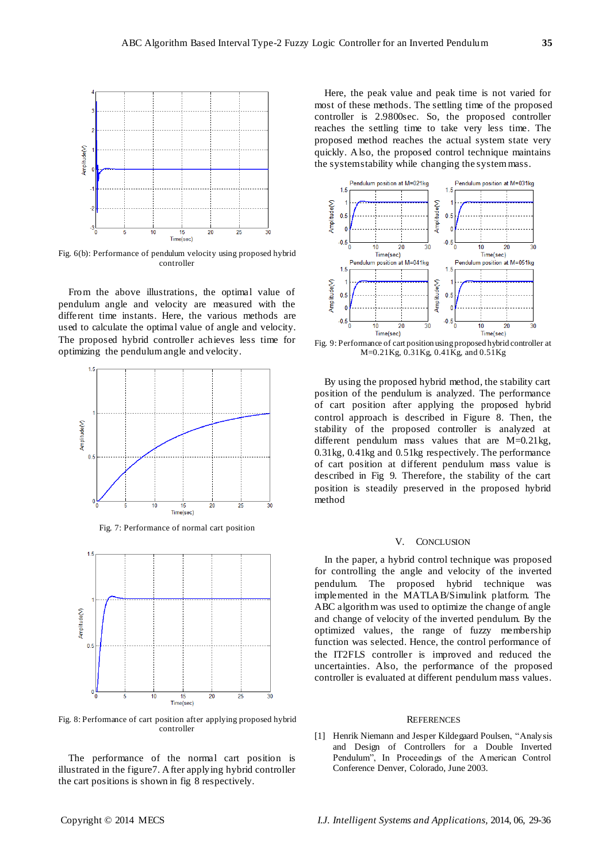

Fig. 6(b): Performance of pendulum velocity using proposed hybrid controller

From the above illustrations, the optimal value of pendulum angle and velocity are measured with the different time instants. Here, the various methods are used to calculate the optimal value of angle and velocity. The proposed hybrid controller achieves less time for optimizing the pendulum angle and velocity.



Fig. 7: Performance of normal cart position



Fig. 8: Performance of cart position after applying proposed hybrid controller

The performance of the normal cart position is illustrated in the figure7. After applying hybrid controller the cart positions is shown in fig 8 respectively.

Here, the peak value and peak time is not varied for most of these methods. The settling time of the proposed controller is 2.9800sec. So, the proposed controller reaches the settling time to take very less time. The proposed method reaches the actual system state very quickly. Also, the proposed control technique maintains the system stability while changing the system mass.



Fig. 9: Performance of cart position using proposed hybrid controller at M=0.21Kg, 0.31Kg, 0.41Kg, and 0.51Kg

By using the proposed hybrid method, the stability cart position of the pendulum is analyzed. The performance of cart position after applying the proposed hybrid control approach is described in Figure 8. Then, the stability of the proposed controller is analyzed at different pendulum mass values that are M=0.21kg, 0.31kg, 0.41kg and 0.51kg respectively. The performance of cart position at different pendulum mass value is described in Fig 9. Therefore, the stability of the cart position is steadily preserved in the proposed hybrid method

## V. CONCLUSION

In the paper, a hybrid control technique was proposed for controlling the angle and velocity of the inverted pendulum. The proposed hybrid technique was implemented in the MATLAB/Simulink platform. The ABC algorithm was used to optimize the change of angle and change of velocity of the inverted pendulum. By the optimized values, the range of fuzzy membership function was selected. Hence, the control performance of the IT2FLS controller is improved and reduced the uncertainties. Also, the performance of the proposed controller is evaluated at different pendulum mass values.

#### **REFERENCES**

[1] Henrik Niemann and Jesper Kildegaard Poulsen, "Analysis and Design of Controllers for a Double Inverted Pendulum", In Proceedings of the American Control Conference Denver, Colorado, June 2003.